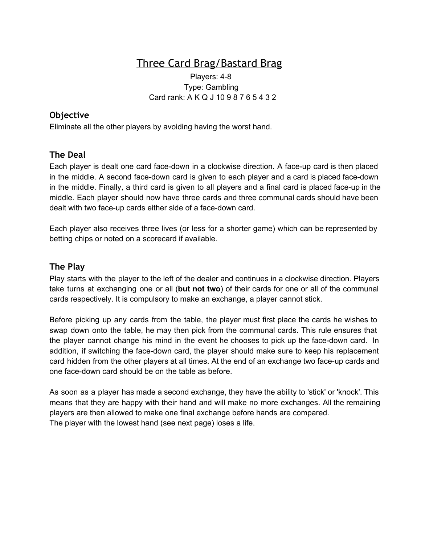# Three Card Brag/Bastard Brag

#### Players: 4-8 Type: Gambling Card rank: A K Q J 10 9 8 7 6 5 4 3 2

### **Objective**

Eliminate all the other players by avoiding having the worst hand.

## **The Deal**

Each player is dealt one card face-down in a clockwise direction. A face-up card is then placed in the middle. A second face-down card is given to each player and a card is placed face-down in the middle. Finally, a third card is given to all players and a final card is placed face-up in the middle. Each player should now have three cards and three communal cards should have been dealt with two face-up cards either side of a face-down card.

Each player also receives three lives (or less for a shorter game) which can be represented by betting chips or noted on a scorecard if available.

#### **The Play**

Play starts with the player to the left of the dealer and continues in a clockwise direction. Players take turns at exchanging one or all (**but not two**) of their cards for one or all of the communal cards respectively. It is compulsory to make an exchange, a player cannot stick.

Before picking up any cards from the table, the player must first place the cards he wishes to swap down onto the table, he may then pick from the communal cards. This rule ensures that the player cannot change his mind in the event he chooses to pick up the face-down card. In addition, if switching the face-down card, the player should make sure to keep his replacement card hidden from the other players at all times. At the end of an exchange two face-up cards and one face-down card should be on the table as before.

As soon as a player has made a second exchange, they have the ability to 'stick' or 'knock'. This means that they are happy with their hand and will make no more exchanges. All the remaining players are then allowed to make one final exchange before hands are compared. The player with the lowest hand (see next page) loses a life.